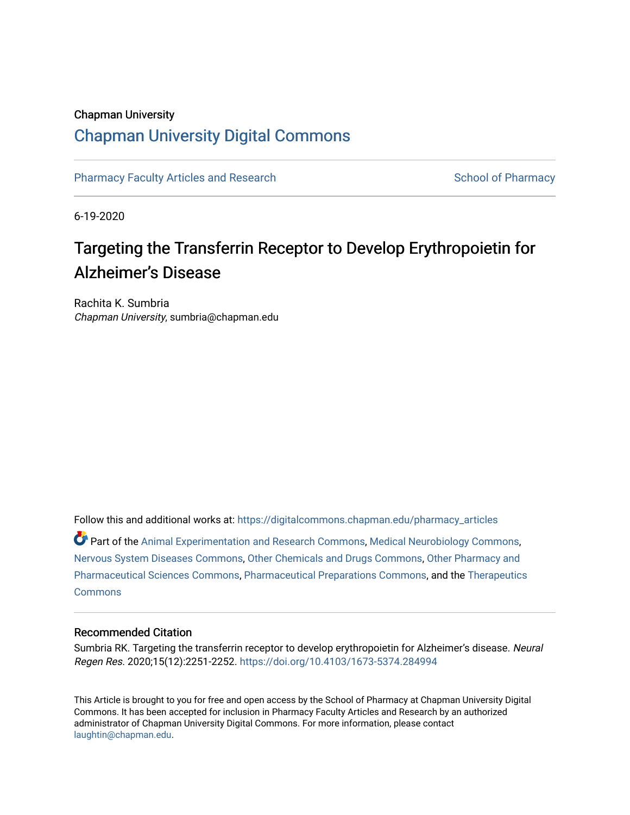## Chapman University [Chapman University Digital Commons](https://digitalcommons.chapman.edu/)

[Pharmacy Faculty Articles and Research](https://digitalcommons.chapman.edu/pharmacy_articles) [School of Pharmacy](https://digitalcommons.chapman.edu/cusp) School of Pharmacy

6-19-2020

# Targeting the Transferrin Receptor to Develop Erythropoietin for Alzheimer's Disease

Rachita K. Sumbria Chapman University, sumbria@chapman.edu

Follow this and additional works at: [https://digitalcommons.chapman.edu/pharmacy\\_articles](https://digitalcommons.chapman.edu/pharmacy_articles?utm_source=digitalcommons.chapman.edu%2Fpharmacy_articles%2F853&utm_medium=PDF&utm_campaign=PDFCoverPages)

Part of the [Animal Experimentation and Research Commons,](http://network.bepress.com/hgg/discipline/1390?utm_source=digitalcommons.chapman.edu%2Fpharmacy_articles%2F853&utm_medium=PDF&utm_campaign=PDFCoverPages) [Medical Neurobiology Commons,](http://network.bepress.com/hgg/discipline/674?utm_source=digitalcommons.chapman.edu%2Fpharmacy_articles%2F853&utm_medium=PDF&utm_campaign=PDFCoverPages) [Nervous System Diseases Commons](http://network.bepress.com/hgg/discipline/928?utm_source=digitalcommons.chapman.edu%2Fpharmacy_articles%2F853&utm_medium=PDF&utm_campaign=PDFCoverPages), [Other Chemicals and Drugs Commons,](http://network.bepress.com/hgg/discipline/951?utm_source=digitalcommons.chapman.edu%2Fpharmacy_articles%2F853&utm_medium=PDF&utm_campaign=PDFCoverPages) [Other Pharmacy and](http://network.bepress.com/hgg/discipline/737?utm_source=digitalcommons.chapman.edu%2Fpharmacy_articles%2F853&utm_medium=PDF&utm_campaign=PDFCoverPages)  [Pharmaceutical Sciences Commons,](http://network.bepress.com/hgg/discipline/737?utm_source=digitalcommons.chapman.edu%2Fpharmacy_articles%2F853&utm_medium=PDF&utm_campaign=PDFCoverPages) [Pharmaceutical Preparations Commons,](http://network.bepress.com/hgg/discipline/936?utm_source=digitalcommons.chapman.edu%2Fpharmacy_articles%2F853&utm_medium=PDF&utm_campaign=PDFCoverPages) and the [Therapeutics](http://network.bepress.com/hgg/discipline/993?utm_source=digitalcommons.chapman.edu%2Fpharmacy_articles%2F853&utm_medium=PDF&utm_campaign=PDFCoverPages)  [Commons](http://network.bepress.com/hgg/discipline/993?utm_source=digitalcommons.chapman.edu%2Fpharmacy_articles%2F853&utm_medium=PDF&utm_campaign=PDFCoverPages)

#### Recommended Citation

Sumbria RK. Targeting the transferrin receptor to develop erythropoietin for Alzheimer's disease. Neural Regen Res. 2020;15(12):2251-2252.<https://doi.org/10.4103/1673-5374.284994>

This Article is brought to you for free and open access by the School of Pharmacy at Chapman University Digital Commons. It has been accepted for inclusion in Pharmacy Faculty Articles and Research by an authorized administrator of Chapman University Digital Commons. For more information, please contact [laughtin@chapman.edu.](mailto:laughtin@chapman.edu)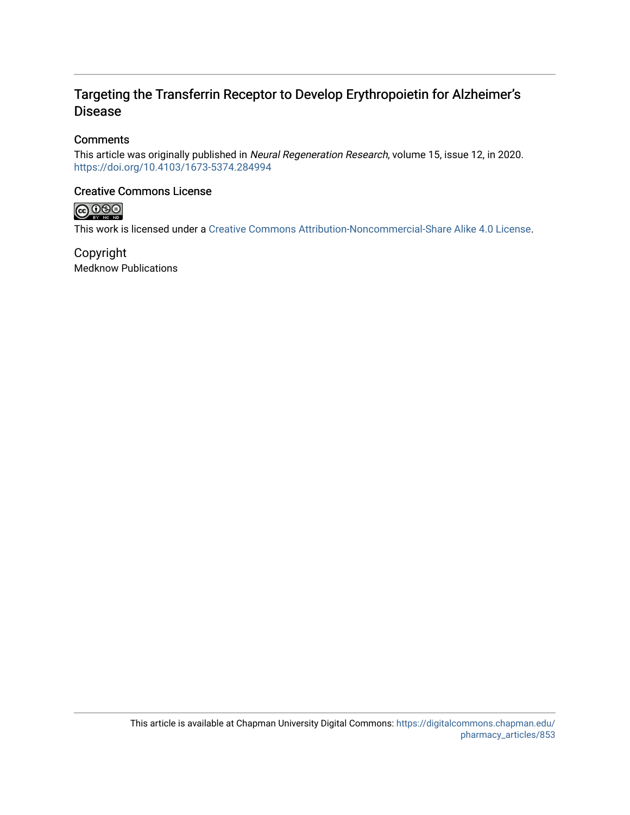## Targeting the Transferrin Receptor to Develop Erythropoietin for Alzheimer's Disease

### **Comments**

This article was originally published in Neural Regeneration Research, volume 15, issue 12, in 2020. <https://doi.org/10.4103/1673-5374.284994>

### Creative Commons License



This work is licensed under a [Creative Commons Attribution-Noncommercial-Share Alike 4.0 License](https://creativecommons.org/licenses/by-nc-sa/4.0/).

Copyright Medknow Publications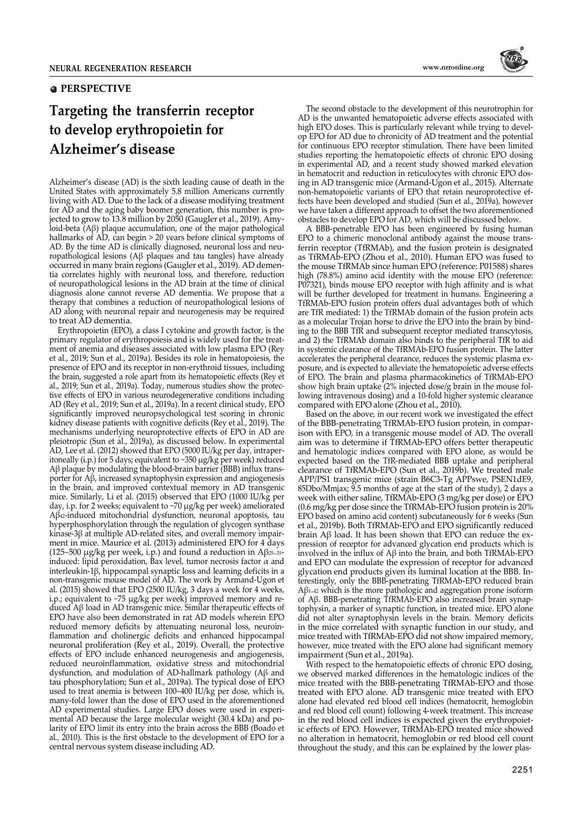#### **PERSPECTIVE**

# **Targeting the transferrin receptor to develop erythropoietin for Alzheimer's disease**

Alzheimer's disease (AD) is the sixth leading cause of death in the United States with approximately 5.8 million Americans currently living with AD. Due to the lack of a disease modifying treatment for AD and the aging baby boomer generation, this number is projected to grow to 13.8 million by 2050 (Gaugler et al., 2019). Amyloid-beta (Aβ) plaque accumulation, one of the major pathological hallmarks of AD, can begin > 20 years before clinical symptoms of AD. By the time AD is clinically diagnosed, neuronal loss and neuropathological lesions (Aβ plaques and tau tangles) have already occurred in many brain regions (Gaugler et al., 2019). AD dementia correlates highly with neuronal loss, and therefore, reduction of neuropathological lesions in the AD brain at the time of clinical diagnosis alone cannot reverse AD dementia. We propose that a therapy that combines a reduction of neuropathological lesions of AD along with neuronal repair and neurogenesis may be required to treat AD dementia.

Erythropoietin (EPO), a class I cytokine and growth factor, is the primary regulator of erythropoiesis and is widely used for the treatment of anemia and diseases associated with low plasma EPO (Rey et al., 2019; Sun et al., 2019a). Besides its role in hematopoiesis, the presence of EPO and its receptor in non-erythroid tissues, including the brain, suggested a role apart from its hematopoietic effects (Rey et al., 2019; Sun et al., 2019a). Today, numerous studies show the protective effects of EPO in various neurodegenerative conditions including AD (Rey et al., 2019; Sun et al., 2019a). In a recent clinical study, EPO significantly improved neuropsychological test scoring in chronic kidney disease patients with cognitive deficits (Rey et al., 2019). The mechanisms underlying neuroprotective effects of EPO in AD are pleiotropic (Sun et al., 2019a), as discussed below. In experimental AD, Lee et al. (2012) showed that EPO (5000 IU/kg per day, intraperitoneally (i.p.) for 5 days; equivalent to ~350 µg/kg per week) reduced Aβ plaque by modulating the blood-brain barrier (BBB) influx transporter for Aβ, increased synaptophysin expression and angiogenesis in the brain, and improved contextual memory in AD transgenic mice. Similarly, Li et al. (2015) observed that EPO (1000 IU/kg per day, i.p. for 2 weeks; equivalent to ~70 µg/kg per week) ameliorated Aβ42-induced mitochondrial dysfunction, neuronal apoptosis, tau hyperphosphorylation through the regulation of glycogen synthase kinase-3β at multiple AD-related sites, and overall memory impairment in mice. Maurice et al. (2013) administered EPO for 4 days (125–500 µg/kg per week, i.p.) and found a reduction in Aβ<sup>25</sup>–35 induced: lipid peroxidation, Bax level, tumor necrosis factor  $\alpha$  and interleukin-1β, hippocampal synaptic loss and learning deficits in a non-transgenic mouse model of AD. The work by Armand-Ugon et al. (2015) showed that EPO (2500 IU/kg, 3 days a week for 4 weeks, i.p.; equivalent to ~75 µg/kg per week) improved memory and reduced Aβ load in AD transgenic mice. Similar therapeutic effects of EPO have also been demonstrated in rat AD models wherein EPO reduced memory deficits by attenuating neuronal loss, neuroinflammation and cholinergic deficits and enhanced hippocampal neuronal proliferation (Rey et al., 2019). Overall, the protective effects of EPO include enhanced neurogenesis and angiogenesis, reduced neuroinflammation, oxidative stress and mitochondrial dysfunction, and modulation of AD-hallmark pathology (Aβ and tau phosphorylation; Sun et al., 2019a). The typical dose of EPO used to treat anemia is between 100–400 IU/kg per dose, which is, many-fold lower than the dose of EPO used in the aforementioned AD experimental studies. Large EPO doses were used in experimental AD because the large molecular weight (30.4 kDa) and polarity of EPO limit its entry into the brain across the BBB (Boado et al., 2010). This is the first obstacle to the development of EPO for a central nervous system disease including AD.

The second obstacle to the development of this neurotrophin for AD is the unwanted hematopoietic adverse effects associated with high EPO doses. This is particularly relevant while trying to develop EPO for AD due to chronicity of AD treatment and the potential for continuous EPO receptor stimulation. There have been limited studies reporting the hematopoietic effects of chronic EPO dosing in experimental AD, and a recent study showed marked elevation in hematocrit and reduction in reticulocytes with chronic EPO dosing in AD transgenic mice (Armand-Ugon et al., 2015). Alternate non-hematopoietic variants of EPO that retain neuroprotective effects have been developed and studied (Sun et al., 2019a), however we have taken a different approach to offset the two aforementioned obstacles to develop EPO for AD, which will be discussed below.

A BBB-penetrable EPO has been engineered by fusing human EPO to a chimeric monoclonal antibody against the mouse transferrin receptor (TfRMAb), and the fusion protein is designated as TfRMAb-EPO (Zhou et al., 2010). Human EPO was fused to the mouse TfRMAb since human EPO (reference: P01588) shares high (78.8%) amino acid identity with the mouse EPO (reference: P07321), binds mouse EPO receptor with high affinity and is what will be further developed for treatment in humans. Engineering a TfRMAb-EPO fusion protein offers dual advantages both of which are TfR mediated: 1) the TfRMAb domain of the fusion protein acts as a molecular Trojan horse to drive the EPO into the brain by binding to the BBB TfR and subsequent receptor mediated transcytosis, and 2) the TfRMAb domain also binds to the peripheral TfR to aid in systemic clearance of the TfRMAb-EPO fusion protein. The latter accelerates the peripheral clearance, reduces the systemic plasma exposure, and is expected to alleviate the hematopoietic adverse effects of EPO. The brain and plasma pharmacokinetics of TfRMAb-EPO show high brain uptake (2% injected dose/g brain in the mouse following intravenous dosing) and a 10-fold higher systemic clearance compared with EPO alone (Zhou et al., 2010).

Based on the above, in our recent work we investigated the effect of the BBB-penetrating TfRMAb-EPO fusion protein, in comparison with EPO, in a transgenic mouse model of AD. The overall aim was to determine if TfRMAb-EPO offers better therapeutic and hematologic indices compared with EPO alone, as would be expected based on the TfR-mediated BBB uptake and peripheral clearance of TfRMAb-EPO (Sun et al., 2019b). We treated male APP/PS1 transgenic mice (strain B6C3-Tg APPswe, PSEN1dE9, 85Dbo/Mmjax; 9.5 months of age at the start of the study), 2 days a week with either saline, TfRMAb-EPO (3 mg/kg per dose) or EPO (0.6 mg/kg per dose since the TfRMAb-EPO fusion protein is 20% EPO based on amino acid content) subcutaneously for 6 weeks (Sun et al., 2019b). Both TfRMAb-EPO and EPO significantly reduced brain Aβ load. It has been shown that EPO can reduce the expression of receptor for advanced glycation end products which is involved in the influx of Aβ into the brain, and both TfRMAb-EPO and EPO can modulate the expression of receptor for advanced glycation end products given its luminal location at the BBB. Interestingly, only the BBB-penetrating TfRMAb-EPO reduced brain Aβ<sup>1</sup>–<sup>42</sup> which is the more pathologic and aggregation prone isoform of Aβ. BBB-penetrating TfRMAb-EPO also increased brain synaptophysin, a marker of synaptic function, in treated mice. EPO alone did not alter synaptophysin levels in the brain. Memory deficits in the mice correlated with synaptic function in our study, and mice treated with TfRMAb-EPO did not show impaired memory, however, mice treated with the EPO alone had significant memory impairment (Sun et al., 2019a).

With respect to the hematopoietic effects of chronic EPO dosing, we observed marked differences in the hematologic indices of the mice treated with the BBB-penetrating TfRMAb-EPO and those treated with EPO alone. AD transgenic mice treated with EPO alone had elevated red blood cell indices (hematocrit, hemoglobin and red blood cell count) following 4-week treatment. This increase in the red blood cell indices is expected given the erythropoietic effects of EPO. However, TfRMAb-EPO treated mice showed no alteration in hematocrit, hemoglobin or red blood cell count throughout the study, and this can be explained by the lower plas-